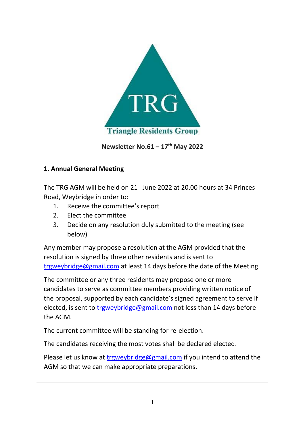

**Newsletter No.61 – 17 th May 2022**

## **1. 1. Annual General Meeting**

The TRG AGM will be held on  $21^{st}$  June 2022 at 20.00 hours at 34 Princes Road, Weybridge in order to:

- 1. Receive the committee's report
- 2. Elect the committee
- 3. Decide on any resolution duly submitted to the meeting (see below)

Any member may propose a resolution at the AGM provided that the resolution is signed by three other residents and is sent to [trgweybridge@gmail.com](mailto:trgweybridge@gmail.com) at least 14 days before the date of the Meeting

The committee or any three residents may propose one or more candidates to serve as committee members providing written notice of the proposal, supported by each candidate's signed agreement to serve if elected, is sent to [trgweybridge@gmail.com](mailto:trgweybridge@gmail.com) not less than 14 days before the AGM.

The current committee will be standing for re-election.

The candidates receiving the most votes shall be declared elected.

Please let us know at [trgweybridge@gmail.com](mailto:trgweybridge@gmail.com) if you intend to attend the AGM so that we can make appropriate preparations.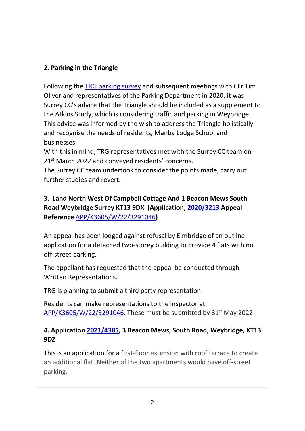# **5. 2. Parking in the Triangle**

Following the [TRG parking survey](https://www.trgweybridge.com/_files/ugd/5f3cf7_dc2f0787056848668a63129bfc36df0e.pdf) and subsequent meetings with Cllr Tim Oliver and representatives of the Parking Department in 2020, it was Surrey CC's advice that the Triangle should be included as a supplement to the Atkins Study, which is considering traffic and parking in Weybridge. This advice was informed by the wish to address the Triangle holistically and recognise the needs of residents, Manby Lodge School and businesses.

With this in mind, TRG representatives met with the Surrey CC team on 21<sup>st</sup> March 2022 and conveyed residents' concerns.

The Surrey CC team undertook to consider the points made, carry out further studies and revert.

# 3. **Land North West Of Campbell Cottage And 1 Beacon Mews South Road Weybridge Surrey KT13 9DX (Application, [2020/3213](http://emaps.elmbridge.gov.uk/ebc_planning.aspx?requesttype=parsetemplate&template=PlanningDetailsTab.tmplt&basepage=ebc_planning.aspx&appno:PARAM=2020/3213&address:PARAM=Land+North+West+Of+Campbell+Cottage+And+1+Beacon+Mews+South+Road+Weybridge+Surrey+KT13+9DZ&easting:PARAM=508341&northing:PARAM=164386&Filter=%5eAPPLICATION_NUMBER%5e=%272020/3213%27) Appeal Reference** [APP/K3605/W/22/3291046](https://acp.planninginspectorate.gov.uk/ViewCase.aspx?caseid=3291046)**)**

An appeal has been lodged against refusal by Elmbridge of an outline application for a detached two-storey building to provide 4 flats with no off-street parking.

The appellant has requested that the appeal be conducted through Written Representations.

TRG is planning to submit a third party representation.

Residents can make representations to the Inspector at  $APP/K3605/W/22/3291046$ . These must be submitted by 31<sup>st</sup> May 2022

## **7. 4. Application [2021/4385,](https://emaps.elmbridge.gov.uk/ebc_planning.aspx?requesttype=parsetemplate&template=PlanningDetailsTab.tmplt&basepage=ebc_planning.aspx&Filter=%5eAPPLICATION_NUMBER%5e=%272021/4385%27&history=36d357d92ae3456287889fe8aa430ee8&appno:PARAM=2021/4385&address:PARAM=3,%20Beacon%20Mews,%20%20South%20Road,%20Weybridge,%20KT13%209DZ&easting:PARAM=508332&northing:PARAM=164359) 3 Beacon Mews, South Road, Weybridge, KT13 9DZ**

This is an application for a first-floor extension with roof terrace to create an additional flat. Neither of the two apartments would have off-street parking.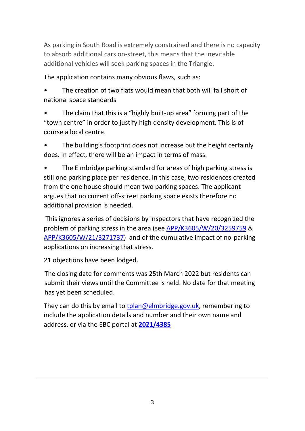As parking in South Road is extremely constrained and there is no capacity to absorb additional cars on-street, this means that the inevitable additional vehicles will seek parking spaces in the Triangle.

The application contains many obvious flaws, such as:

The creation of two flats would mean that both will fall short of national space standards

The claim that this is a "highly built-up area" forming part of the "town centre" in order to justify high density development. This is of course a local centre.

The building's footprint does not increase but the height certainly does. In effect, there will be an impact in terms of mass.

The Elmbridge parking standard for areas of high parking stress is still one parking place per residence. In this case, two residences created from the one house should mean two parking spaces. The applicant argues that no current off-street parking space exists therefore no additional provision is needed.

This ignores a series of decisions by Inspectors that have recognized the problem of parking stress in the area (see [APP/K3605/W/20/3259759](file:///D:/3259759.docx%20(trgweybridge.com)) & [APP/K3605/W/21/3271737\)](http://emaps.elmbridge.gov.uk/ebc_planning.aspx?requesttype=parseTemplate&template=PlanningPlansAndDocsTab.tmplt&Filter=%5eAPPLICATION_NUMBER%5e=%272020/1007%27&appno:PARAM=2020/1007&address:PARAM=91%20Queens%20Road,%20Weybridge,%20KT13%209UQ&northing:PARAM=164355&easting:PARAM=508343) and of the cumulative impact of no-parking applications on increasing that stress.

21 objections have been lodged.

The closing date for comments was 25th March 2022 but residents can submit their views until the Committee is held. No date for that meeting has yet been scheduled.

They can do this by email to [tplan@elmbridge.gov.uk,](mailto:tplan@elmbridge.gov.uk) remembering to include the application details and number and their own name and address, or via the EBC portal at **[2021/4385](https://emaps.elmbridge.gov.uk/ebc_planning.aspx?requesttype=parsetemplate&template=PlanningDetailsTab.tmplt&basepage=ebc_planning.aspx&Filter=%5eAPPLICATION_NUMBER%5e=%272021/4385%27&history=36d357d92ae3456287889fe8aa430ee8&appno:PARAM=2021/4385&address:PARAM=3,%20Beacon%20Mews,%20%20South%20Road,%20Weybridge,%20KT13%209DZ&easting:PARAM=508332&northing:PARAM=164359)**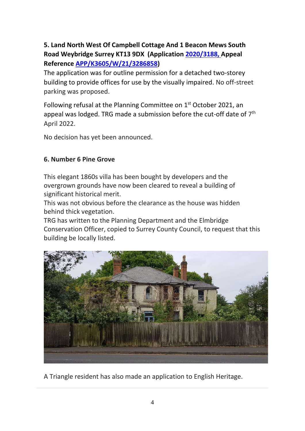# **5. Land North West Of Campbell Cottage And 1 Beacon Mews South Road Weybridge Surrey KT13 9DX (Application [2020/3188,](http://emaps.elmbridge.gov.uk/ebc_planning.aspx?requesttype=parsetemplate&template=PlanningDetailsTab.tmplt&basepage=ebc_planning.aspx&appno:PARAM=2020/3188&address:PARAM=Land%20North%20West%20Of%20Campbell%20Cottage%20And%201%20Beacon%20Mews%20South%20Road%20Weybridge%20Surrey%20KT13%209DX&easting:PARAM=508341&northing:PARAM=164386&Filter=%5eAPPLICATION_NUMBER%5e=%272020/3188%27) Appeal Reference [APP/K3605/W/21/3286858\)](https://acp.planninginspectorate.gov.uk/ViewCase.aspx?caseid=3286858)**

The application was for outline permission for a detached two-storey building to provide offices for use by the visually impaired. No off-street parking was proposed.

Following refusal at the Planning Committee on 1<sup>st</sup> October 2021, an appeal was lodged. TRG made a submission before the cut-off date of  $7<sup>th</sup>$ April 2022.

No decision has yet been announced.

#### **6. Number 6 Pine Grove**

This elegant 1860s villa has been bought by developers and the overgrown grounds have now been cleared to reveal a building of significant historical merit.

This was not obvious before the clearance as the house was hidden behind thick vegetation.

TRG has written to the Planning Department and the Elmbridge Conservation Officer, copied to Surrey County Council, to request that this building be locally listed.



8. A Triangle resident has also made an application to English Heritage.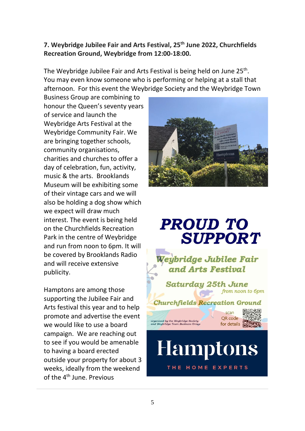### **9. 7. Weybridge Jubilee Fair and Arts Festival, 25th June 2022, Churchfields Recreation Ground, Weybridge from 12:00-18:00.**

The Weybridge Jubilee Fair and Arts Festival is being held on June 25<sup>th</sup>. You may even know someone who is performing or helping at a stall that afternoon. For this event the Weybridge Society and the Weybridge Town

Business Group are combining to honour the Queen's seventy years of service and launch the Weybridge Arts Festival at the Weybridge Community Fair. We are bringing together schools, community organisations, charities and churches to offer a day of celebration, fun, activity, music & the arts. Brooklands Museum will be exhibiting some of their vintage cars and we will also be holding a dog show which we expect will draw much interest. The event is being held on the Churchfields Recreation Park in the centre of Weybridge and run from noon to 6pm. It will be covered by Brooklands Radio and will receive extensive publicity.

Hamptons are among those supporting the Jubilee Fair and Arts festival this year and to help promote and advertise the event we would like to use a board campaign. We are reaching out to see if you would be amenable to having a board erected outside your property for about 3 weeks, ideally from the weekend of the 4<sup>th</sup> June. Previous



# **PROUD TO SUPPORT**